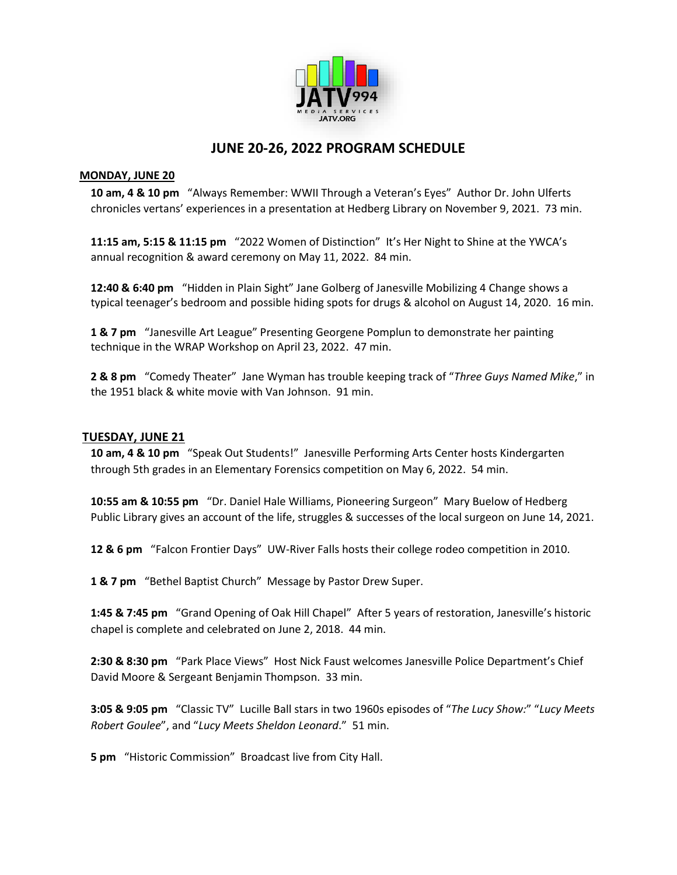

# **JUNE 20-26, 2022 PROGRAM SCHEDULE**

# **MONDAY, JUNE 20**

 **10 am, 4 & 10 pm** "Always Remember: WWII Through a Veteran's Eyes" Author Dr. John Ulferts chronicles vertans' experiences in a presentation at Hedberg Library on November 9, 2021. 73 min.

 **11:15 am, 5:15 & 11:15 pm** "2022 Women of Distinction" It's Her Night to Shine at the YWCA's annual recognition & award ceremony on May 11, 2022. 84 min.

 **12:40 & 6:40 pm** "Hidden in Plain Sight" Jane Golberg of Janesville Mobilizing 4 Change shows a typical teenager's bedroom and possible hiding spots for drugs & alcohol on August 14, 2020. 16 min.

 **1 & 7 pm** "Janesville Art League" Presenting Georgene Pomplun to demonstrate her painting technique in the WRAP Workshop on April 23, 2022. 47 min.

 **2 & 8 pm** "Comedy Theater" Jane Wyman has trouble keeping track of "*Three Guys Named Mike*," in the 1951 black & white movie with Van Johnson. 91 min.

# **TUESDAY, JUNE 21**

 **10 am, 4 & 10 pm** "Speak Out Students!" Janesville Performing Arts Center hosts Kindergarten through 5th grades in an Elementary Forensics competition on May 6, 2022. 54 min.

 **10:55 am & 10:55 pm** "Dr. Daniel Hale Williams, Pioneering Surgeon" Mary Buelow of Hedberg Public Library gives an account of the life, struggles & successes of the local surgeon on June 14, 2021.

**12 & 6 pm** "Falcon Frontier Days" UW-River Falls hosts their college rodeo competition in 2010.

 **1 & 7 pm** "Bethel Baptist Church" Message by Pastor Drew Super.

 **1:45 & 7:45 pm** "Grand Opening of Oak Hill Chapel" After 5 years of restoration, Janesville's historic chapel is complete and celebrated on June 2, 2018. 44 min.

 **2:30 & 8:30 pm** "Park Place Views" Host Nick Faust welcomes Janesville Police Department's Chief David Moore & Sergeant Benjamin Thompson. 33 min.

 **3:05 & 9:05 pm** "Classic TV" Lucille Ball stars in two 1960s episodes of "*The Lucy Show:*" "*Lucy Meets Robert Goulee*", and "*Lucy Meets Sheldon Leonard*." 51 min.

 **5 pm** "Historic Commission" Broadcast live from City Hall.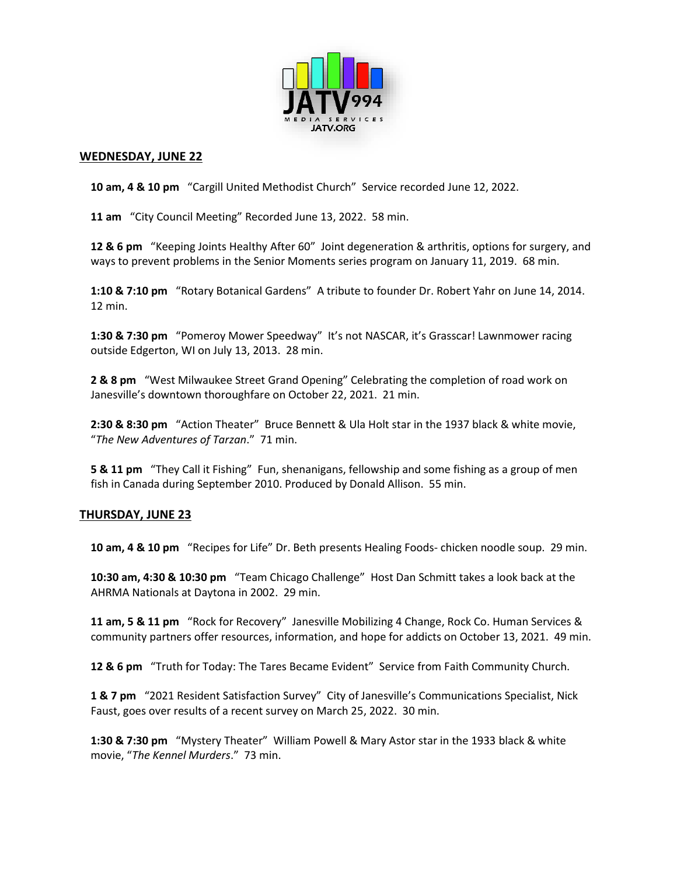

#### **WEDNESDAY, JUNE 22**

 **10 am, 4 & 10 pm** "Cargill United Methodist Church" Service recorded June 12, 2022.

 **11 am** "City Council Meeting" Recorded June 13, 2022. 58 min.

 **12 & 6 pm** "Keeping Joints Healthy After 60" Joint degeneration & arthritis, options for surgery, and ways to prevent problems in the Senior Moments series program on January 11, 2019. 68 min.

 **1:10 & 7:10 pm** "Rotary Botanical Gardens" A tribute to founder Dr. Robert Yahr on June 14, 2014. 12 min.

 **1:30 & 7:30 pm** "Pomeroy Mower Speedway" It's not NASCAR, it's Grasscar! Lawnmower racing outside Edgerton, WI on July 13, 2013. 28 min.

 **2 & 8 pm** "West Milwaukee Street Grand Opening" Celebrating the completion of road work on Janesville's downtown thoroughfare on October 22, 2021. 21 min.

 **2:30 & 8:30 pm** "Action Theater" Bruce Bennett & Ula Holt star in the 1937 black & white movie, "*The New Adventures of Tarzan*." 71 min.

 **5 & 11 pm** "They Call it Fishing" Fun, shenanigans, fellowship and some fishing as a group of men fish in Canada during September 2010. Produced by Donald Allison. 55 min.

# **THURSDAY, JUNE 23**

**10 am, 4 & 10 pm** "Recipes for Life" Dr. Beth presents Healing Foods- chicken noodle soup. 29 min.

 **10:30 am, 4:30 & 10:30 pm** "Team Chicago Challenge" Host Dan Schmitt takes a look back at the AHRMA Nationals at Daytona in 2002. 29 min.

 **11 am, 5 & 11 pm** "Rock for Recovery" Janesville Mobilizing 4 Change, Rock Co. Human Services & community partners offer resources, information, and hope for addicts on October 13, 2021. 49 min.

**12 & 6 pm** "Truth for Today: The Tares Became Evident" Service from Faith Community Church.

 **1 & 7 pm** "2021 Resident Satisfaction Survey" City of Janesville's Communications Specialist, Nick Faust, goes over results of a recent survey on March 25, 2022. 30 min.

 **1:30 & 7:30 pm** "Mystery Theater" William Powell & Mary Astor star in the 1933 black & white movie, "*The Kennel Murders*." 73 min.